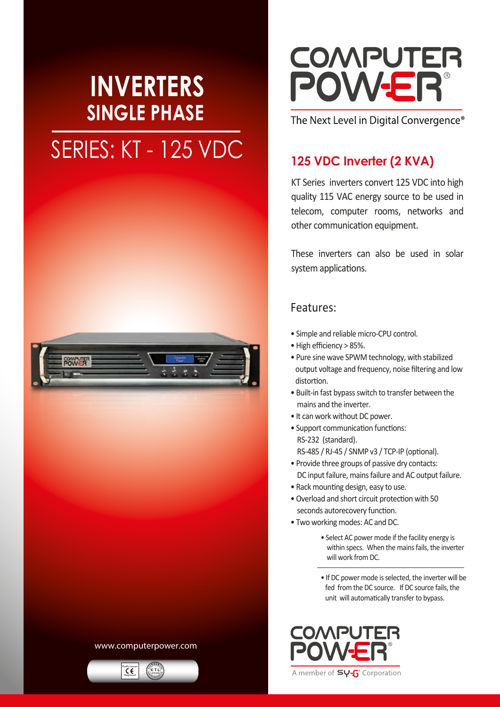## **INVERTERS SINGLE PHASE** SERIES: KT - 125 VDC 125 VDC Inverter (2 KVA)



### www.computerpower.com



# **COMPUTER** POWER®

The Next Level in Digital Convergence®

KT Series inverters convert 125 VDC into high quality 115 VAC energy source to be used in telecom, computer rooms, networks and other communication equipment.

These inverters can also be used in solar system applications.

## Features:

- Simple and reliable micro-CPU control.
- High efficiency > 85%.
- Pure sine wave SPWM technology, with stabilized output voltage and frequency, noise filtering and low distortion.
- Built-in fast bypass switch to transfer between the mains and the inverter.
- It can work without DC power.
- Support communication functions: RS-232 (standard). RS-485 / RJ-45 / SNMP v3 / TCP-IP (optional).
- Provide three groups of passive dry contacts: DC input failure, mains failure and AC output failure.
- Rack mounting design, easy to use.
- Overload and short circuit protection with 50 seconds autorecovery function.
- Two working modes: AC and DC.
	- Select AC power mode if the facility energy is within specs. When the mains fails, the inverter will work from DC.
	- If DC power mode is selected, the inverter will be fed from the DC source. If DC source fails, the unit will automatically transfer to bypass.